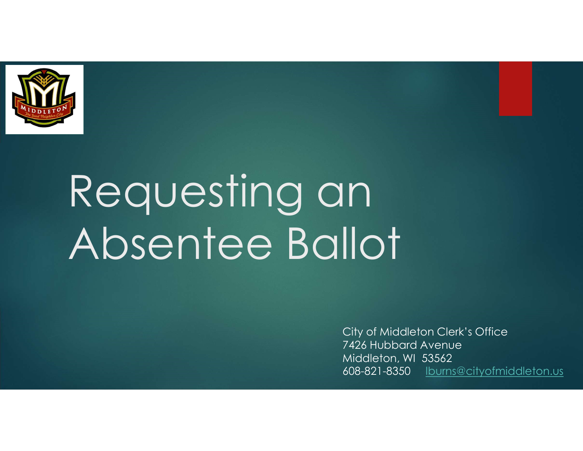

# Requesting an Absentee Ballot

City of Middleton Clerk's Office 7426 Hubbard Avenue Middleton, WI 53562 608-821-8350 lburns@cityofmiddleton.us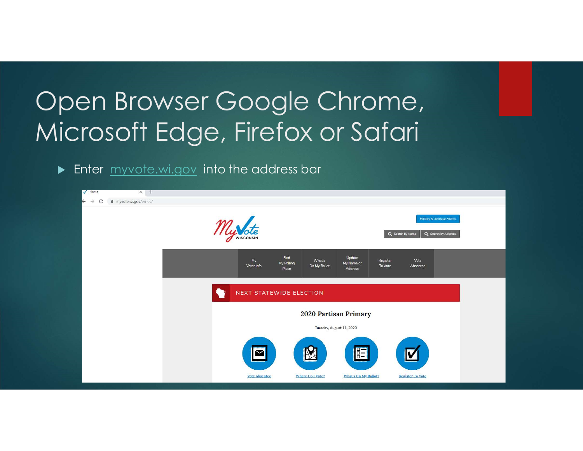## Open Browser Google Chrome, Microsoft Edge, Firefox or Safari

**Enter** myvote.wi.gov into the address bar

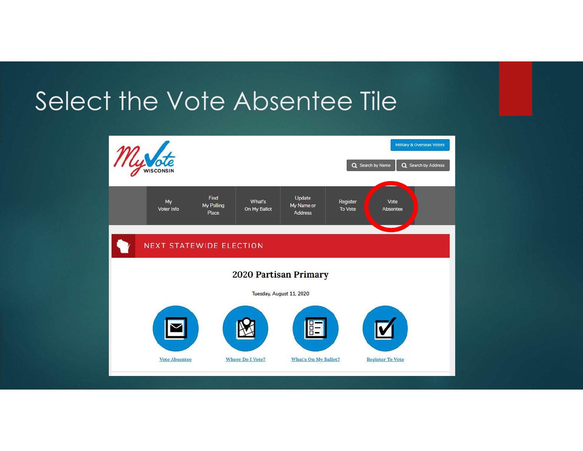### Select the Vote Absentee Tile

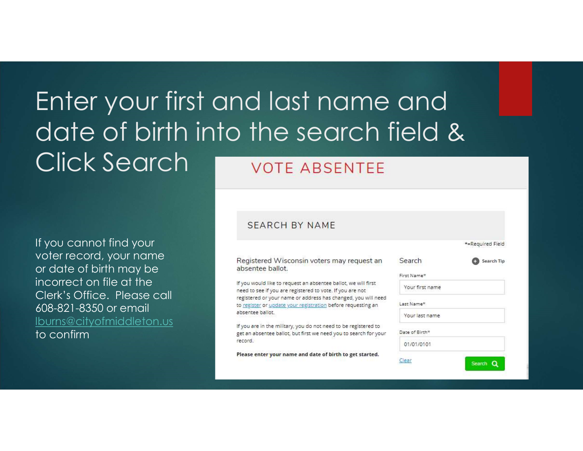### Enter your first and last name and date of birth into the search field & Click Search VOTE ABSENTEE

If you cannot find your voter record, your name or date of birth may be incorrect on file at the 608-821-8350 or email lburns@cityofmiddleton.us represent the military, you do not need to be registered to to confirm

#### **SEARCH BY NAME**

Registered Wisconsin voters may request an absentee ballot.

If you would like to request an absentee ballot, we will first Clerk's Office. Please call registered to your name or address has changed, you will ne to register or update your registration before requesting an absentee ballot.

> get an absentee ballot, but first we need you to search for yo record.

Please enter your name and date of birth to get started.

|                 | *=Required Field |
|-----------------|------------------|
| Search          | Search Tip       |
| First Name*     |                  |
| Your first name |                  |
| Last Name*      |                  |
| Your last name  |                  |
| Date of Birth*  |                  |
| 01/01/0101      |                  |
| Clear           | Search Q         |
|                 |                  |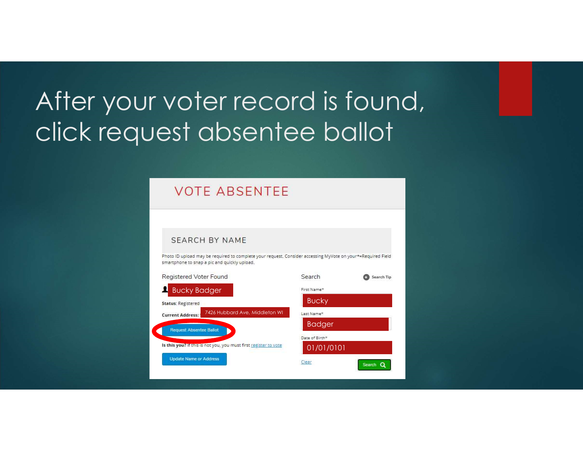# After your voter record is found, click request absentee ballot

#### **VOTE ABSENTEE**

#### **SEARCH BY NAME**

Photo ID upload may be required to complete your request. Consider accessing MyVote on your\*=Required Field smartphone to snap a pic and quickly upload.

| Registered Voter Found                                           | Search<br>Search Tip |
|------------------------------------------------------------------|----------------------|
| <b>Bucky Badger</b>                                              | First Name*          |
| <b>Status: Registered</b>                                        | <b>Bucky</b>         |
| 7426 Hubbard Ave, Middleton WI<br><b>Current Address:</b>        | Last Name*           |
| <b>Request Absentee Ballot</b>                                   | <b>Badger</b>        |
|                                                                  | Date of Birth*       |
| Is this you? If this is not you, you must first register to vote | 01/01/0101           |
| <b>Update Name or Address</b>                                    | Clear<br>Search Q    |
|                                                                  |                      |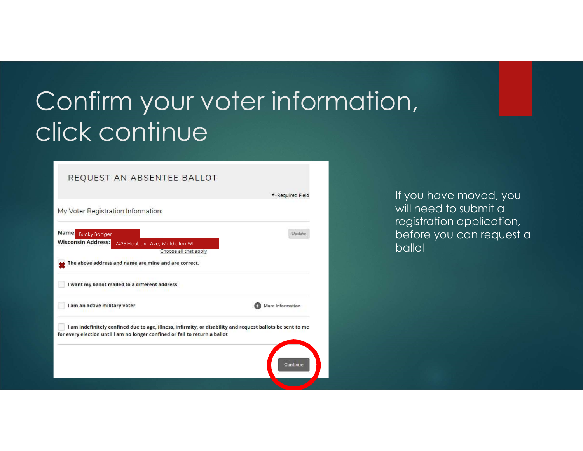# Confirm your voter information, click continue

#### REQUEST AN ABSENTEE BALLOT

| I am indefinitely confined due to age, illness, infirmity, or disability and request ballots be sent to me |                  |
|------------------------------------------------------------------------------------------------------------|------------------|
| I am an active military voter                                                                              | More Information |
| I want my ballot mailed to a different address                                                             |                  |
| The above address and name are mine and are correct.                                                       |                  |
| <b>Wisconsin Address:</b><br>7426 Hubbard Ave, Middleton WI<br>Choose all that apply                       |                  |
| Name<br><b>Bucky Badger</b>                                                                                | Update           |

If you have moved, you will need to submit a registration application, before you can request a ballot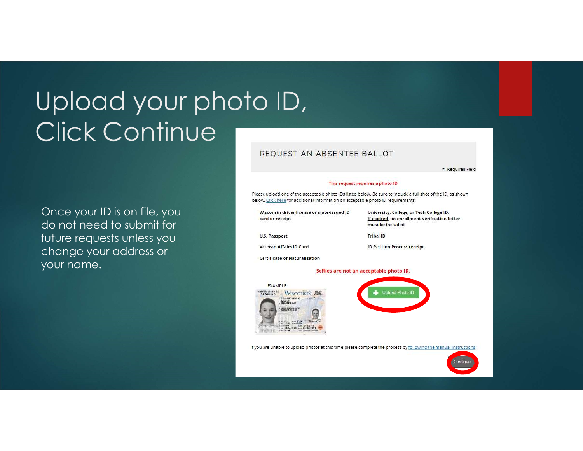# Upload your photo ID, Click Continue

Once your ID is on file, you do not need to submit for future requests unless you change your address or your name.

#### REQUEST AN ABSENTEE BALLOT

\*=Required Field

#### This request requires a photo ID

Please upload one of the acceptable photo IDs listed below. Be sure to include a full shot of the ID, as shown below. Click here for additional information on acceptable photo ID requirements.

| Wisconsin driver license or state-issued ID<br>card or receipt                                                                                                                                                                               | University, College, or Tech College ID.<br>If expired, an enrollment verification letter<br>must be included                     |
|----------------------------------------------------------------------------------------------------------------------------------------------------------------------------------------------------------------------------------------------|-----------------------------------------------------------------------------------------------------------------------------------|
| <b>U.S. Passport</b>                                                                                                                                                                                                                         | <b>Tribal ID</b>                                                                                                                  |
| <b>Veteran Affairs ID Card</b>                                                                                                                                                                                                               | <b>ID Petition Process receipt</b>                                                                                                |
| <b>Certificate of Naturalization</b>                                                                                                                                                                                                         |                                                                                                                                   |
|                                                                                                                                                                                                                                              | Selfies are not an acceptable photo ID.                                                                                           |
| <b>EXAMPLE:</b><br><b>DRIVER LICENSE</b><br>WISCONSIN<br>(5123-4567-4501-00)<br>vasse D<br>SAMPLE<br><b>FRIGEER ANY</b><br><b>ERED SHEREOVILAN AVAIL</b><br>wanty \$1-98<br><b>HONGRAD</b><br>mr 19/15/2018<br>a.tar 03/14/2022<br>03/14/191 | Upload Photo ID<br>If you are unable to upload photos at this time please complete the process by following the manual instructio |
|                                                                                                                                                                                                                                              | Continue                                                                                                                          |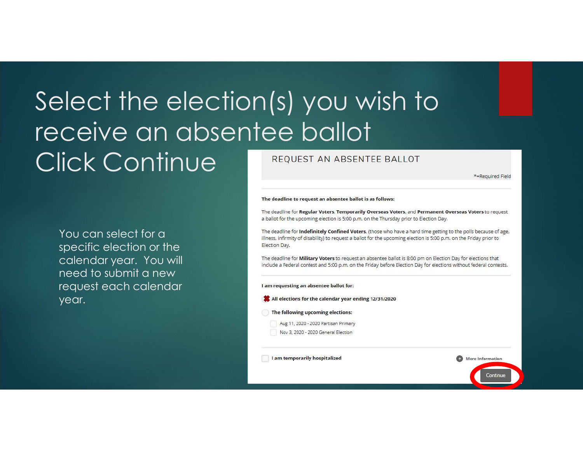### Select the election(s) you wish to receive an absentee ballot **Click Continue**

You can select for a specific election or the calendar year. You will need to submit a new request each calendar year.

#### REQUEST AN ABSENTEE BALLOT

\*=Required Field

More Information

Continue

#### The deadline to request an absentee ballot is as follows:

The deadline for Regular Voters, Temporarily Overseas Voters, and Permanent Overseas Voters to request a ballot for the upcoming election is 5:00 p.m. on the Thursday prior to Election Day.

The deadline for **Indefinitely Confined Voters**, (those who have a hard time getting to the polls because of age, illness, infirmity of disability) to request a ballot for the upcoming election is 5:00 p.m. on the Friday prior to Election Day.

The deadline for Military Voters to request an absentee ballot is 8:00 pm on Election Day for elections that include a Federal contest and 5:00 p.m. on the Friday before Election Day for elections without federal contests.

#### I am requesting an absentee ballot for:

- All elections for the calendar year ending 12/31/2020
- The following upcoming elections:
	- Aug 11, 2020 2020 Partisan Primary Nov 3, 2020 - 2020 General Election
	-

I am temporarily hospitalized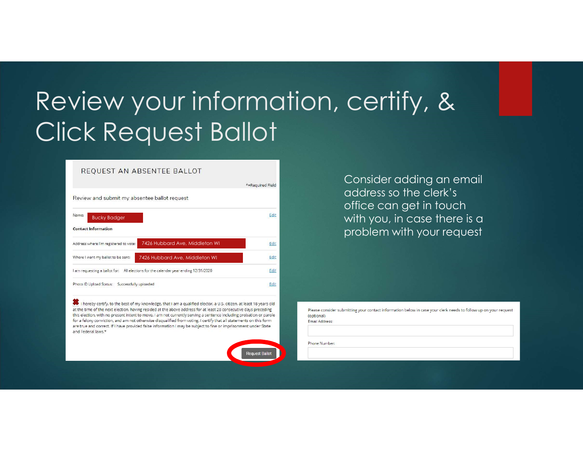# Review your information, certify, & Click Request Ballot

#### REOUEST AN ABSENTEE BALLOT

| *=Required Field |
|------------------|
|                  |
| Edi              |
|                  |
| Edit             |
| Edit             |
| Edit             |
| Edit             |
|                  |

I hereby certify, to the best of my knowledge, that I am a qualified elector, a U.S. citizen, at least 18 years old at the time of the next election, having resided at the above address for at least 28 consecutive days preceding this election, with no present intent to move. I am not currently serving a sentence including probation or parole for a felony conviction, and am not otherwise disqualified from voting. I certify that all statements on this form are true and correct. If I have provided false information I may be subject to fine or imprisonment under State and Federal laws.\*

Request Ballot

Consider adding an email address so the clerk's office can get in touch with you, in case there is a problem with your request

Please consider submitting your contact information below in case your clerk needs to follow up on your request (optional) Email Address:

Phone Number: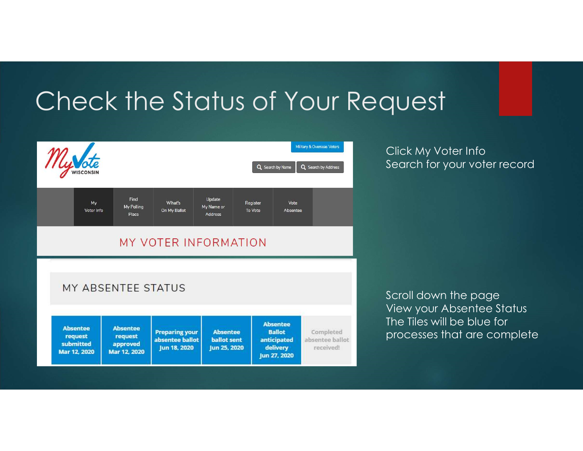### Check the Status of Your Request



Click My Voter Info Search for your voter record

Scroll down the page View your Absentee Status The Tiles will be blue for processes that are complete